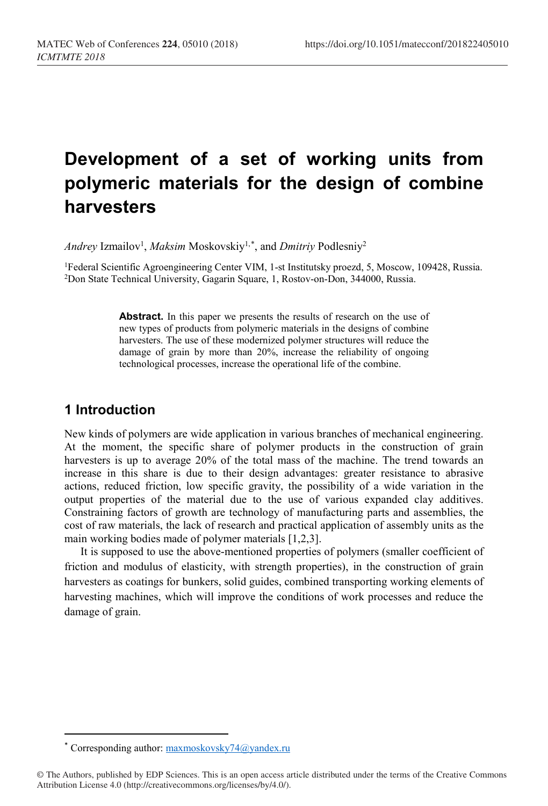# **Development of a set of working units from polymeric materials for the design of combine harvesters**

Andrey Izmailov<sup>1</sup>, *Maksim* Moskovskiy<sup>1,[\\*](#page-0-0)</sup>, and *Dmitriy* Podlesniy<sup>2</sup>

1Federal Scientific Agroengineering Center VIM, 1-st Institutsky proezd, 5, Moscow, 109428, Russia. 2Don State Technical University, Gagarin Square, 1, Rostov-on-Don, 344000, Russia.

> Abstract. In this paper we presents the results of research on the use of new types of products from polymeric materials in the designs of combine harvesters. The use of these modernized polymer structures will reduce the damage of grain by more than 20%, increase the reliability of ongoing technological processes, increase the operational life of the combine.

### **1 Introduction**

 $\overline{a}$ 

New kinds of polymers are wide application in various branches of mechanical engineering. At the moment, the specific share of polymer products in the construction of grain harvesters is up to average 20% of the total mass of the machine. The trend towards an increase in this share is due to their design advantages: greater resistance to abrasive actions, reduced friction, low specific gravity, the possibility of a wide variation in the output properties of the material due to the use of various expanded clay additives. Constraining factors of growth are technology of manufacturing parts and assemblies, the cost of raw materials, the lack of research and practical application of assembly units as the main working bodies made of polymer materials [1,2,3].

It is supposed to use the above-mentioned properties of polymers (smaller coefficient of friction and modulus of elasticity, with strength properties), in the construction of grain harvesters as coatings for bunkers, solid guides, combined transporting working elements of harvesting machines, which will improve the conditions of work processes and reduce the damage of grain.

<sup>\*</sup> Corresponding author: maxmoskovsky74@yandex.ru

<span id="page-0-0"></span><sup>©</sup> The Authors, published by EDP Sciences. This is an open access article distributed under the terms of the Creative Commons Attribution License 4.0 (http://creativecommons.org/licenses/by/4.0/).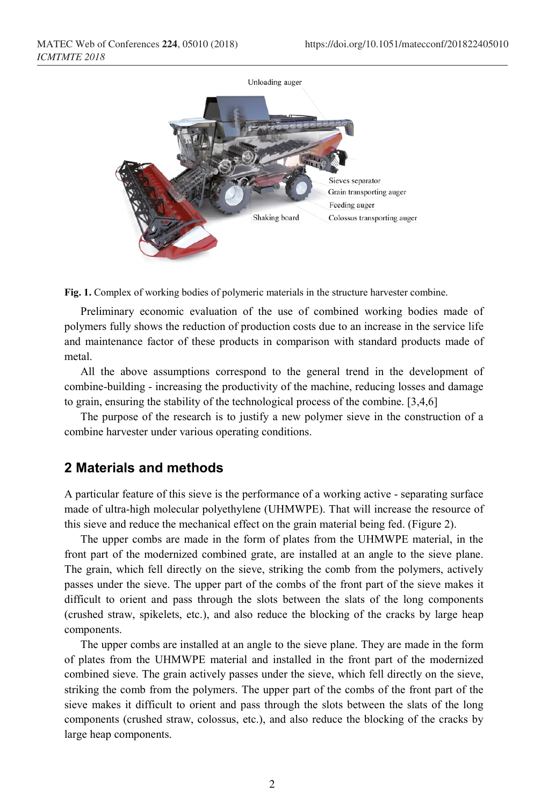

**Fig. 1.** Complex of working bodies of polymeric materials in the structure harvester combine.

Preliminary economic evaluation of the use of combined working bodies made of polymers fully shows the reduction of production costs due to an increase in the service life and maintenance factor of these products in comparison with standard products made of metal.

All the above assumptions correspond to the general trend in the development of combine-building - increasing the productivity of the machine, reducing losses and damage to grain, ensuring the stability of the technological process of the combine. [3,4,6]

The purpose of the research is to justify a new polymer sieve in the construction of a combine harvester under various operating conditions.

#### **2 Materials and methods**

A particular feature of this sieve is the performance of a working active - separating surface made of ultra-high molecular polyethylene (UHMWPE). That will increase the resource of this sieve and reduce the mechanical effect on the grain material being fed. (Figure 2).

The upper combs are made in the form of plates from the UHMWPE material, in the front part of the modernized combined grate, are installed at an angle to the sieve plane. The grain, which fell directly on the sieve, striking the comb from the polymers, actively passes under the sieve. The upper part of the combs of the front part of the sieve makes it difficult to orient and pass through the slots between the slats of the long components (crushed straw, spikelets, etc.), and also reduce the blocking of the cracks by large heap components.

The upper combs are installed at an angle to the sieve plane. They are made in the form of plates from the UHMWPE material and installed in the front part of the modernized combined sieve. The grain actively passes under the sieve, which fell directly on the sieve, striking the comb from the polymers. The upper part of the combs of the front part of the sieve makes it difficult to orient and pass through the slots between the slats of the long components (crushed straw, colossus, etc.), and also reduce the blocking of the cracks by large heap components.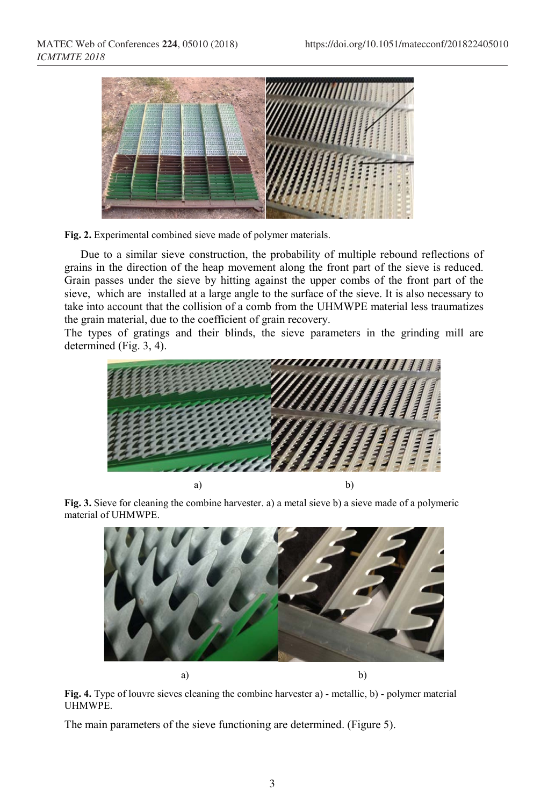



Due to a similar sieve construction, the probability of multiple rebound reflections of grains in the direction of the heap movement along the front part of the sieve is reduced. Grain passes under the sieve by hitting against the upper combs of the front part of the sieve, which are installed at a large angle to the surface of the sieve. It is also necessary to take into account that the collision of a comb from the UHMWPE material less traumatizes the grain material, due to the coefficient of grain recovery.

The types of gratings and their blinds, the sieve parameters in the grinding mill are determined (Fig. 3, 4).



**Fig. 3.** Sieve for cleaning the combine harvester. a) a metal sieve b) a sieve made of a polymeric material of UHMWPE.



**Fig. 4.** Type of louvre sieves cleaning the combine harvester a) - metallic, b) - polymer material UHMWPE.

The main parameters of the sieve functioning are determined. (Figure 5).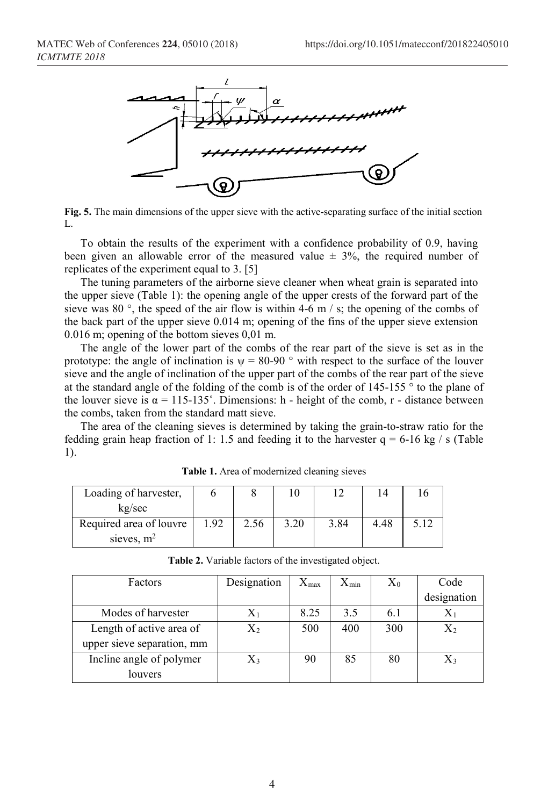

**Fig. 5.** The main dimensions of the upper sieve with the active-separating surface of the initial section L.

To obtain the results of the experiment with a confidence probability of 0.9, having been given an allowable error of the measured value  $\pm$  3%, the required number of replicates of the experiment equal to 3. [5]

The tuning parameters of the airborne sieve cleaner when wheat grain is separated into the upper sieve (Table 1): the opening angle of the upper crests of the forward part of the sieve was 80  $\degree$ , the speed of the air flow is within 4-6 m / s; the opening of the combs of the back part of the upper sieve 0.014 m; opening of the fins of the upper sieve extension 0.016 m; opening of the bottom sieves 0,01 m.

The angle of the lower part of the combs of the rear part of the sieve is set as in the prototype: the angle of inclination is  $\psi = 80{\text -}90$  ° with respect to the surface of the louver sieve and the angle of inclination of the upper part of the combs of the rear part of the sieve at the standard angle of the folding of the comb is of the order of  $145-155$  ° to the plane of the louver sieve is  $\alpha = 115$ -135°. Dimensions: h - height of the comb, r - distance between the combs, taken from the standard matt sieve.

The area of the cleaning sieves is determined by taking the grain-to-straw ratio for the fedding grain heap fraction of 1:1.5 and feeding it to the harvester  $q = 6-16$  kg / s (Table 1).

| Loading of harvester,   |      |      |      |      |      |  |
|-------------------------|------|------|------|------|------|--|
| kg/sec                  |      |      |      |      |      |  |
| Required area of louvre | 1.92 | 2.56 | 3.20 | 3.84 | 4.48 |  |
| sieves, $m2$            |      |      |      |      |      |  |

**Table 1.** Area of modernized cleaning sieves

| Factors                    | Designation | $X_{\max}$ | $X_{\min}$ | $\Chi_0$ | Code        |
|----------------------------|-------------|------------|------------|----------|-------------|
|                            |             |            |            |          | designation |
| Modes of harvester         | $\rm X_1$   | 8.25       | 3.5        | 6.1      | $\rm X$     |
| Length of active area of   | $X_2$       | 500        | 400        | 300      | $X_2$       |
| upper sieve separation, mm |             |            |            |          |             |
| Incline angle of polymer   | $X_3$       | 90         | 85         | 80       | X٩          |
| louvers                    |             |            |            |          |             |

**Table 2.** Variable factors of the investigated object.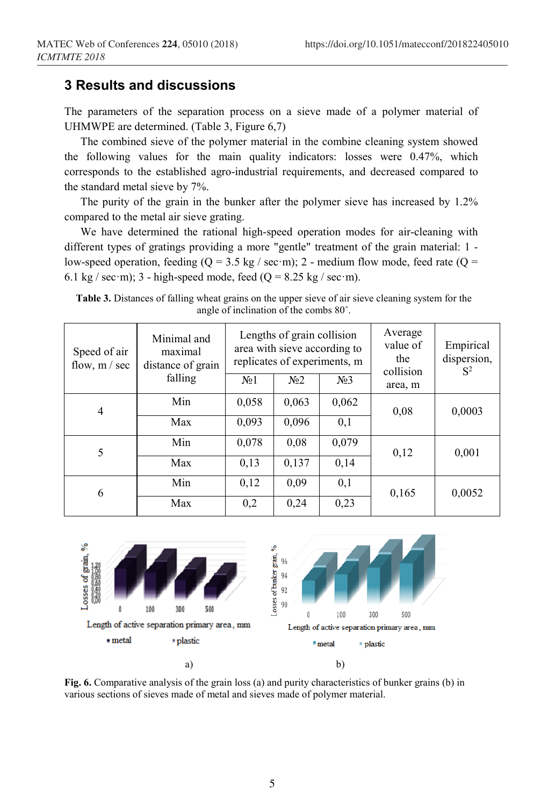#### **3 Results and discussions**

The parameters of the separation process on a sieve made of a polymer material of UHMWPE are determined. (Table 3, Figure 6,7)

The combined sieve of the polymer material in the combine cleaning system showed the following values for the main quality indicators: losses were 0.47%, which corresponds to the established agro-industrial requirements, and decreased compared to the standard metal sieve by 7%.

The purity of the grain in the bunker after the polymer sieve has increased by 1.2% compared to the metal air sieve grating.

We have determined the rational high-speed operation modes for air-cleaning with different types of gratings providing a more "gentle" treatment of the grain material: 1 low-speed operation, feeding  $(Q = 3.5 \text{ kg} / \text{sec} \cdot \text{m})$ ; 2 - medium flow mode, feed rate  $(Q = 1.5 \text{ kg} / \text{sec} \cdot \text{m})$ 6.1 kg / sec·m); 3 - high-speed mode, feed  $(Q = 8.25 \text{ kg} / \text{sec} \cdot \text{m})$ .

**Table 3.** Distances of falling wheat grains on the upper sieve of air sieve cleaning system for the angle of inclination of the combs 80˚.

| Speed of air<br>flow, m / sec | Minimal and<br>maximal<br>distance of grain |                  | Lengths of grain collision<br>area with sieve according to | replicates of experiments, m | Average<br>value of<br>the<br>collision<br>area, m | Empirical<br>dispersion,<br>$S^2$ |
|-------------------------------|---------------------------------------------|------------------|------------------------------------------------------------|------------------------------|----------------------------------------------------|-----------------------------------|
|                               | falling                                     | N <sub>2</sub> 1 | N <sub>2</sub>                                             | $N2$ 3                       |                                                    |                                   |
| $\overline{4}$                | Min                                         | 0,058            | 0,063                                                      | 0,062                        | 0,08                                               | 0,0003                            |
|                               | Max                                         | 0.093            | 0,096                                                      | 0,1                          |                                                    |                                   |
| 5                             | Min                                         | 0,078            | 0,08                                                       | 0,079                        | 0,12                                               | 0,001                             |
|                               | Max                                         | 0,13             | 0,137                                                      | 0,14                         |                                                    |                                   |
| 6                             | Min                                         | 0,12             | 0,09                                                       | 0,1                          | 0,165                                              | 0,0052                            |
|                               | Max                                         | 0,2              | 0,24                                                       | 0,23                         |                                                    |                                   |



**Fig. 6.** Comparative analysis of the grain loss (a) and purity characteristics of bunker grains (b) in various sections of sieves made of metal and sieves made of polymer material.